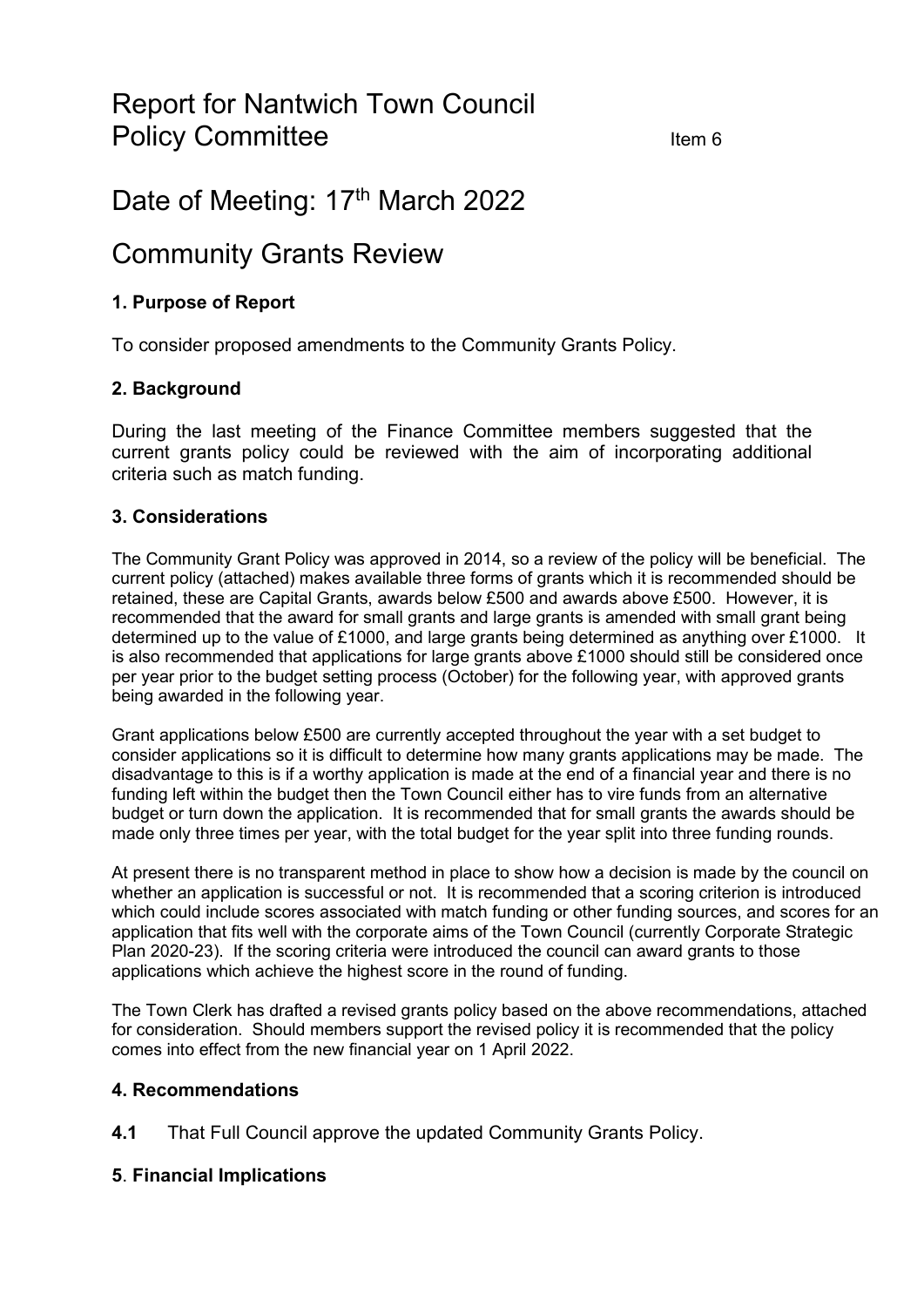# Report for Nantwich Town Council Policy Committee **Internal Committee Item 6**

## Date of Meeting: 17<sup>th</sup> March 2022

## Community Grants Review

### **1. Purpose of Report**

To consider proposed amendments to the Community Grants Policy.

#### **2. Background**

During the last meeting of the Finance Committee members suggested that the current grants policy could be reviewed with the aim of incorporating additional criteria such as match funding.

#### **3. Considerations**

The Community Grant Policy was approved in 2014, so a review of the policy will be beneficial. The current policy (attached) makes available three forms of grants which it is recommended should be retained, these are Capital Grants, awards below £500 and awards above £500. However, it is recommended that the award for small grants and large grants is amended with small grant being determined up to the value of £1000, and large grants being determined as anything over £1000. It is also recommended that applications for large grants above £1000 should still be considered once per year prior to the budget setting process (October) for the following year, with approved grants being awarded in the following year.

Grant applications below £500 are currently accepted throughout the year with a set budget to consider applications so it is difficult to determine how many grants applications may be made. The disadvantage to this is if a worthy application is made at the end of a financial year and there is no funding left within the budget then the Town Council either has to vire funds from an alternative budget or turn down the application. It is recommended that for small grants the awards should be made only three times per year, with the total budget for the year split into three funding rounds.

At present there is no transparent method in place to show how a decision is made by the council on whether an application is successful or not. It is recommended that a scoring criterion is introduced which could include scores associated with match funding or other funding sources, and scores for an application that fits well with the corporate aims of the Town Council (currently Corporate Strategic Plan 2020-23). If the scoring criteria were introduced the council can award grants to those applications which achieve the highest score in the round of funding.

The Town Clerk has drafted a revised grants policy based on the above recommendations, attached for consideration. Should members support the revised policy it is recommended that the policy comes into effect from the new financial year on 1 April 2022.

#### **4. Recommendations**

**4.1** That Full Council approve the updated Community Grants Policy.

#### **5**. **Financial Implications**